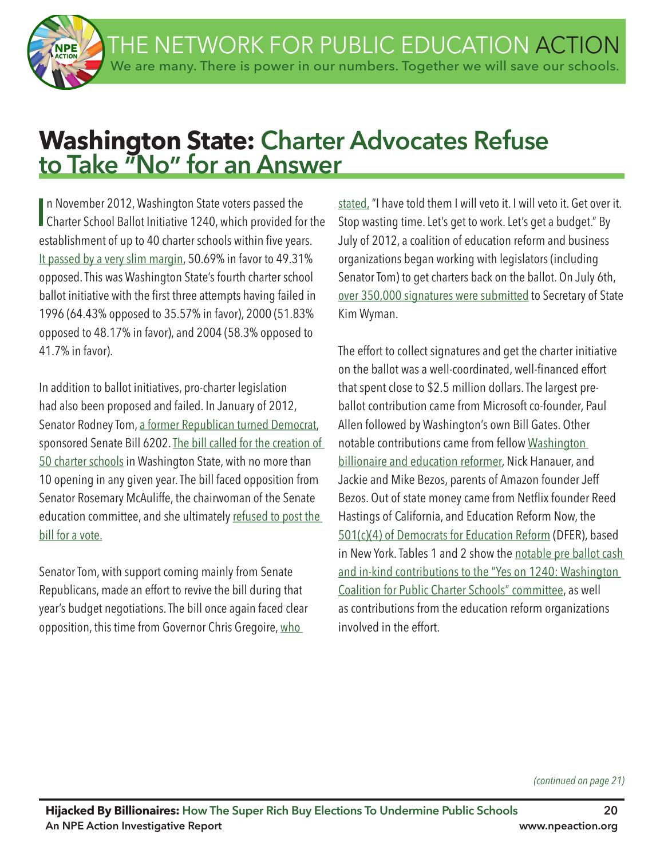THE NETWORK FOR PUBLIC EDUCATION ACTION We are many. There is power in our numbers. Together we will save our schools.

# **Washington State: Charter Advocates Refuse to Take "No" for an Answer**

In November 2012, Washington State voters passed the<br>Charter School Ballot Initiative 1240, which provided for the n November 2012, Washington State voters passed the establishment of up to 40 charter schools within five years. It passed by a very slim margin, 50.69% in favor to 49.31% opposed. This was Washington State's fourth charter school ballot initiative with the first three attempts having failed in 1996 (64.43% opposed to 35.57% in favor), 2000 (51.83% opposed to 48.17% in favor), and 2004 (58.3% opposed to 41.7% in favor).

In addition to ballot initiatives, pro-charter legislation had also been proposed and failed. In January of 2012, Senator Rodney Tom, a former Republican turned Democrat, sponsored Senate Bill 6202. The bill called for the creation of 50 charter schools in Washington State, with no more than 10 opening in any given year. The bill faced opposition from Senator Rosemary McAuliffe, the chairwoman of the Senate education committee, and she ultimately refused to post the bill for a vote.

Senator Tom, with support coming mainly from Senate Republicans, made an effort to revive the bill during that year's budget negotiations. The bill once again faced clear opposition, this time from Governor Chris Gregoire, who

stated, "I have told them I will veto it. I will veto it. Get over it. Stop wasting time. Let's get to work. Let's get a budget." By July of 2012, a coalition of education reform and business organizations began working with legislators (including Senator Tom) to get charters back on the ballot. On July 6th, over 350,000 signatures were submitted to Secretary of State Kim Wyman.

The effort to collect signatures and get the charter initiative on the ballot was a well-coordinated, well-fnanced effort that spent close to \$2.5 million dollars. The largest preballot contribution came from Microsoft co-founder, Paul Allen followed by Washington's own Bill Gates. Other notable contributions came from fellow Washington billionaire and education reformer, Nick Hanauer, and Jackie and Mike Bezos, parents of Amazon founder Jeff Bezos. Out of state money came from Netfix founder Reed Hastings of California, and Education Reform Now, the 501(c)(4) of Democrats for Education Reform (DFER), based in New York. Tables 1 and 2 show the notable pre ballot cash and in-kind contributions to the "Yes on 1240: Washington Coalition for Public Charter Schools" committee, as well as contributions from the education reform organizations involved in the effort.

*(continued on page 21)*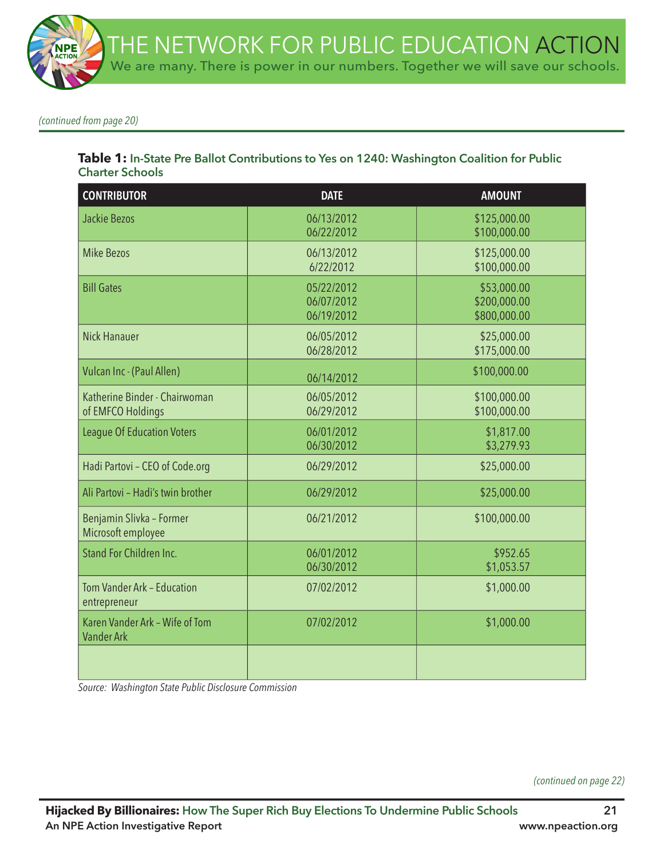*(continued from page 20)*

### **Table 1: In-State Pre Ballot Contributions to Yes on 1240: Washington Coalition for Public Charter Schools**

| <b>CONTRIBUTOR</b>                                  | <b>DATE</b>                            | <b>AMOUNT</b>                               |
|-----------------------------------------------------|----------------------------------------|---------------------------------------------|
| Jackie Bezos                                        | 06/13/2012<br>06/22/2012               | \$125,000.00<br>\$100,000.00                |
| <b>Mike Bezos</b>                                   | 06/13/2012<br>6/22/2012                | \$125,000.00<br>\$100,000.00                |
| <b>Bill Gates</b>                                   | 05/22/2012<br>06/07/2012<br>06/19/2012 | \$53,000.00<br>\$200,000.00<br>\$800,000.00 |
| <b>Nick Hanauer</b>                                 | 06/05/2012<br>06/28/2012               | \$25,000.00<br>\$175,000.00                 |
| Vulcan Inc - (Paul Allen)                           | 06/14/2012                             | \$100,000.00                                |
| Katherine Binder - Chairwoman<br>of EMFCO Holdings  | 06/05/2012<br>06/29/2012               | \$100,000.00<br>\$100,000.00                |
| <b>League Of Education Voters</b>                   | 06/01/2012<br>06/30/2012               | \$1,817.00<br>\$3,279.93                    |
| Hadi Partovi - CEO of Code.org                      | 06/29/2012                             | \$25,000.00                                 |
| Ali Partovi - Hadi's twin brother                   | 06/29/2012                             | \$25,000.00                                 |
| Benjamin Slivka - Former<br>Microsoft employee      | 06/21/2012                             | \$100,000.00                                |
| Stand For Children Inc.                             | 06/01/2012<br>06/30/2012               | \$952.65<br>\$1,053.57                      |
| Tom Vander Ark - Education<br>entrepreneur          | 07/02/2012                             | \$1,000.00                                  |
| Karen Vander Ark - Wife of Tom<br><b>Vander Ark</b> | 07/02/2012                             | \$1,000.00                                  |
|                                                     |                                        |                                             |

*Source: Washington State Public Disclosure Commission*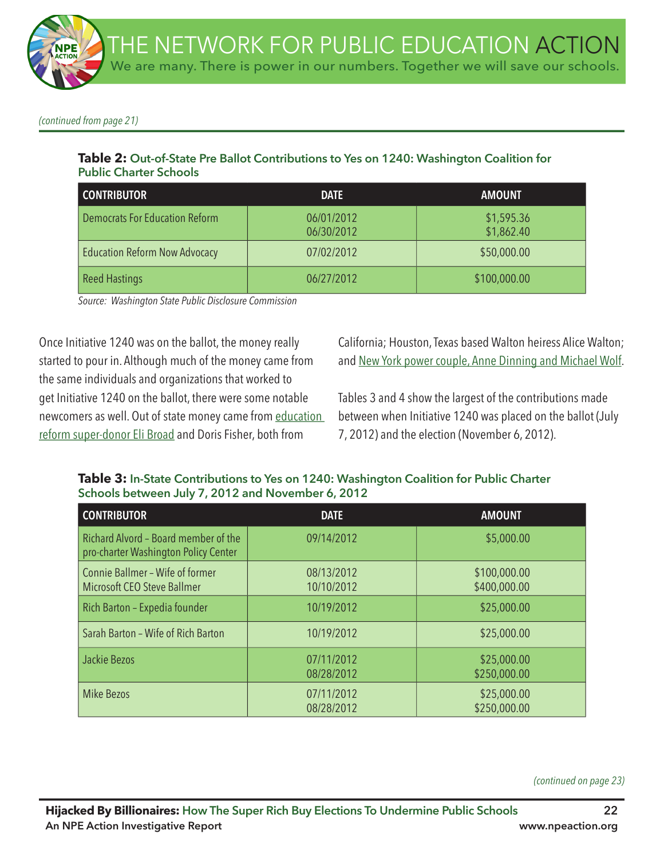*(continued from page 21)*

### **Table 2: Out-of-State Pre Ballot Contributions to Yes on 1240: Washington Coalition for Public Charter Schools**

| <b>CONTRIBUTOR</b>                    | <b>DATE</b>              | <b>AMOUNT</b>            |
|---------------------------------------|--------------------------|--------------------------|
| <b>Democrats For Education Reform</b> | 06/01/2012<br>06/30/2012 | \$1,595.36<br>\$1,862.40 |
| <b>Education Reform Now Advocacy</b>  | 07/02/2012               | \$50,000.00              |
| <b>Reed Hastings</b>                  | 06/27/2012               | \$100,000.00             |

*Source: Washington State Public Disclosure Commission*

Once Initiative 1240 was on the ballot, the money really started to pour in. Although much of the money came from the same individuals and organizations that worked to get Initiative 1240 on the ballot, there were some notable newcomers as well. Out of state money came from education reform super-donor Eli Broad and Doris Fisher, both from

California; Houston, Texas based Walton heiress Alice Walton; and New York power couple, Anne Dinning and Michael Wolf.

Tables 3 and 4 show the largest of the contributions made between when Initiative 1240 was placed on the ballot (July 7, 2012) and the election (November 6, 2012).

# **CONTRIBUTOR DATE AMOUNT** Richard Alvord – Board member of the 09/14/2012 \$5,000.00 **Schools between July 7, 2012 and November 6, 2012**

**Table 3: In-State Contributions to Yes on 1240: Washington Coalition for Public Charter** 

| <b>CUNIRIBUIUR</b>                                                           | <b>DAI E</b>             | AMUUNI                       |
|------------------------------------------------------------------------------|--------------------------|------------------------------|
| Richard Alvord - Board member of the<br>pro-charter Washington Policy Center | 09/14/2012               | \$5,000.00                   |
| Connie Ballmer - Wife of former<br>Microsoft CEO Steve Ballmer               | 08/13/2012<br>10/10/2012 | \$100,000.00<br>\$400,000.00 |
| Rich Barton - Expedia founder                                                | 10/19/2012               | \$25,000.00                  |
| Sarah Barton - Wife of Rich Barton                                           | 10/19/2012               | \$25,000.00                  |
| Jackie Bezos                                                                 | 07/11/2012<br>08/28/2012 | \$25,000.00<br>\$250,000.00  |
| Mike Bezos                                                                   | 07/11/2012<br>08/28/2012 | \$25,000.00<br>\$250,000.00  |

*(continued on page 23)*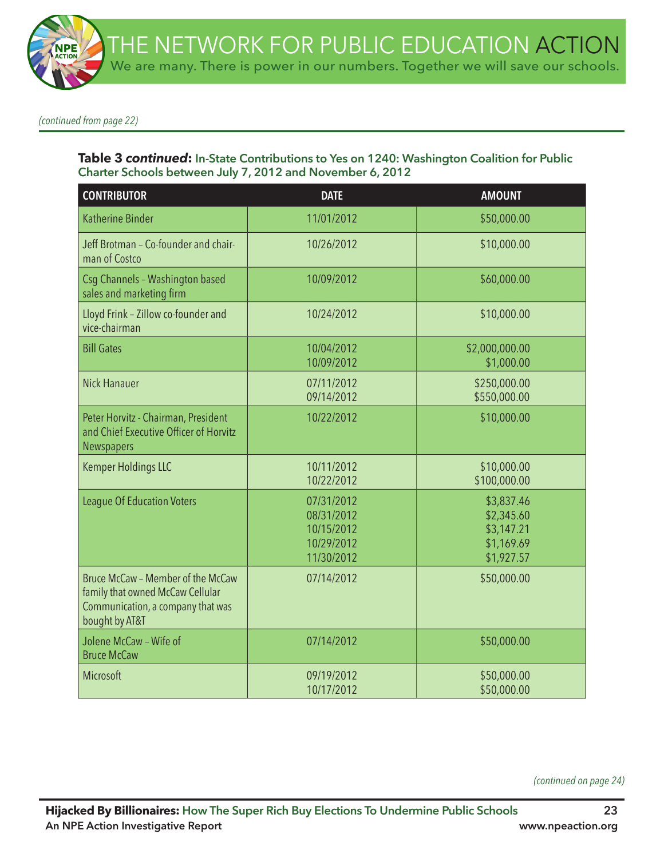*(continued from page 22)*

#### **Table 3** *continued***: In-State Contributions to Yes on 1240: Washington Coalition for Public Charter Schools between July 7, 2012 and November 6, 2012**

| <b>CONTRIBUTOR</b>                                                                                                           | <b>DATE</b>                                                        | <b>AMOUNT</b>                                                      |
|------------------------------------------------------------------------------------------------------------------------------|--------------------------------------------------------------------|--------------------------------------------------------------------|
| <b>Katherine Binder</b>                                                                                                      | 11/01/2012                                                         | \$50,000.00                                                        |
| Jeff Brotman - Co-founder and chair-<br>man of Costco                                                                        | 10/26/2012                                                         | \$10,000.00                                                        |
| Csg Channels - Washington based<br>sales and marketing firm                                                                  | 10/09/2012                                                         | \$60,000.00                                                        |
| Lloyd Frink - Zillow co-founder and<br>vice-chairman                                                                         | 10/24/2012                                                         | \$10,000.00                                                        |
| <b>Bill Gates</b>                                                                                                            | 10/04/2012<br>10/09/2012                                           | \$2,000,000.00<br>\$1,000.00                                       |
| <b>Nick Hanauer</b>                                                                                                          | 07/11/2012<br>09/14/2012                                           | \$250,000.00<br>\$550,000.00                                       |
| Peter Horvitz - Chairman, President<br>and Chief Executive Officer of Horvitz<br>Newspapers                                  | 10/22/2012                                                         | \$10,000.00                                                        |
| <b>Kemper Holdings LLC</b>                                                                                                   | 10/11/2012<br>10/22/2012                                           | \$10,000.00<br>\$100,000.00                                        |
| <b>League Of Education Voters</b>                                                                                            | 07/31/2012<br>08/31/2012<br>10/15/2012<br>10/29/2012<br>11/30/2012 | \$3,837.46<br>\$2,345.60<br>\$3,147.21<br>\$1,169.69<br>\$1,927.57 |
| Bruce McCaw - Member of the McCaw<br>family that owned McCaw Cellular<br>Communication, a company that was<br>bought by AT&T | 07/14/2012                                                         | \$50,000.00                                                        |
| Jolene McCaw - Wife of<br><b>Bruce McCaw</b>                                                                                 | 07/14/2012                                                         | \$50,000.00                                                        |
| Microsoft                                                                                                                    | 09/19/2012<br>10/17/2012                                           | \$50,000.00<br>\$50,000.00                                         |

*(continued on page 24)*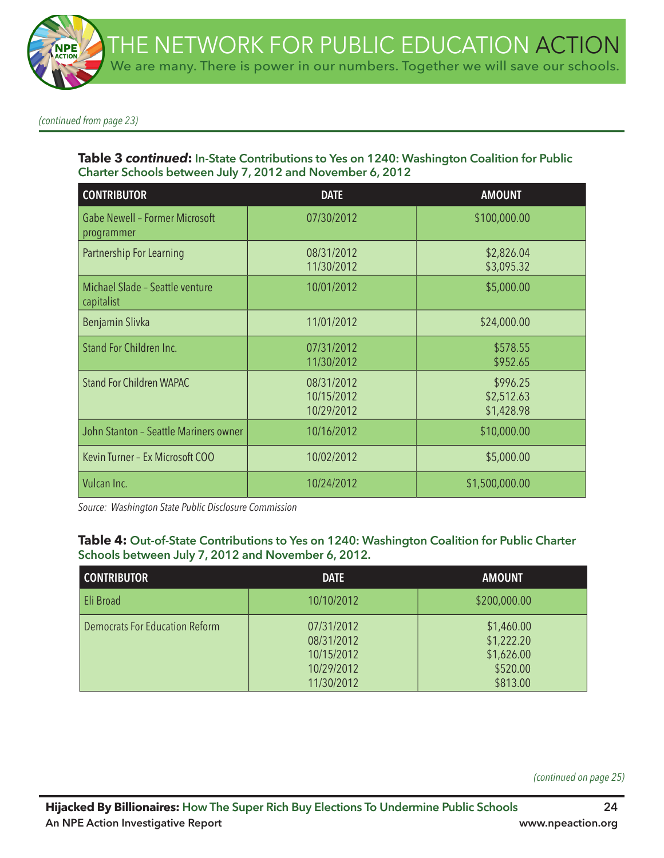*(continued from page 23)*

#### **Table 3** *continued***: In-State Contributions to Yes on 1240: Washington Coalition for Public Charter Schools between July 7, 2012 and November 6, 2012**

| <b>CONTRIBUTOR</b>                                  | <b>DATE</b>                            | <b>AMOUNT</b>                        |
|-----------------------------------------------------|----------------------------------------|--------------------------------------|
| <b>Gabe Newell - Former Microsoft</b><br>programmer | 07/30/2012                             | \$100,000.00                         |
| Partnership For Learning                            | 08/31/2012<br>11/30/2012               | \$2,826.04<br>\$3,095.32             |
| Michael Slade - Seattle venture<br>capitalist       | 10/01/2012                             | \$5,000.00                           |
| Benjamin Slivka                                     | 11/01/2012                             | \$24,000.00                          |
| Stand For Children Inc.                             | 07/31/2012<br>11/30/2012               | \$578.55<br>\$952.65                 |
| <b>Stand For Children WAPAC</b>                     | 08/31/2012<br>10/15/2012<br>10/29/2012 | \$996.25<br>\$2,512.63<br>\$1,428.98 |
| John Stanton - Seattle Mariners owner               | 10/16/2012                             | \$10,000.00                          |
| Kevin Turner - Ex Microsoft COO                     | 10/02/2012                             | \$5,000.00                           |
| Vulcan Inc.                                         | 10/24/2012                             | \$1,500,000.00                       |

*Source: Washington State Public Disclosure Commission*

#### **Table 4: Out-of-State Contributions to Yes on 1240: Washington Coalition for Public Charter Schools between July 7, 2012 and November 6, 2012.**

| <b>CONTRIBUTOR</b>                    | <b>DATE</b>                                                        | <b>AMOUNT</b>                                                  |
|---------------------------------------|--------------------------------------------------------------------|----------------------------------------------------------------|
| <b>Eli Broad</b>                      | 10/10/2012                                                         | \$200,000.00                                                   |
| <b>Democrats For Education Reform</b> | 07/31/2012<br>08/31/2012<br>10/15/2012<br>10/29/2012<br>11/30/2012 | \$1,460.00<br>\$1,222.20<br>\$1,626.00<br>\$520.00<br>\$813.00 |

*(continued on page 25)*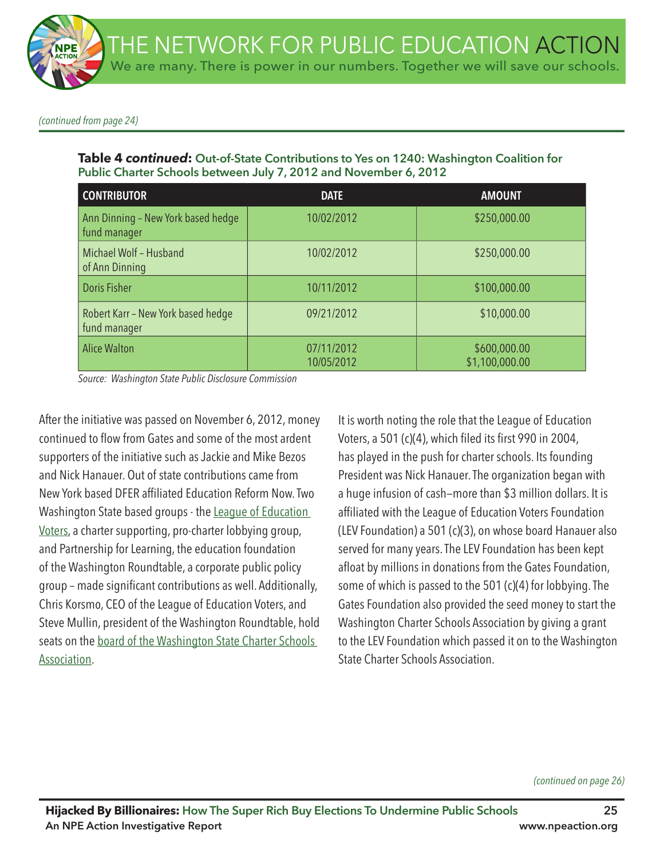*(continued from page 24)*

**Table 4** *continued***: Out-of-State Contributions to Yes on 1240: Washington Coalition for Public Charter Schools between July 7, 2012 and November 6, 2012**

| <b>CONTRIBUTOR</b>                                 | <b>DATE</b>              | <b>AMOUNT</b>                  |
|----------------------------------------------------|--------------------------|--------------------------------|
| Ann Dinning - New York based hedge<br>fund manager | 10/02/2012               | \$250,000.00                   |
| Michael Wolf - Husband<br>of Ann Dinning           | 10/02/2012               | \$250,000.00                   |
| Doris Fisher                                       | 10/11/2012               | \$100,000.00                   |
| Robert Karr - New York based hedge<br>fund manager | 09/21/2012               | \$10,000.00                    |
| <b>Alice Walton</b>                                | 07/11/2012<br>10/05/2012 | \$600,000.00<br>\$1,100,000.00 |

*Source: Washington State Public Disclosure Commission*

After the initiative was passed on November 6, 2012, money continued to flow from Gates and some of the most ardent supporters of the initiative such as Jackie and Mike Bezos and Nick Hanauer. Out of state contributions came from New York based DFER affliated Education Reform Now. Two Washington State based groups - the League of Education Voters, a charter supporting, pro-charter lobbying group, and Partnership for Learning, the education foundation of the Washington Roundtable, a corporate public policy group – made signifcant contributions as well. Additionally, Chris Korsmo, CEO of the League of Education Voters, and Steve Mullin, president of the Washington Roundtable, hold seats on the board of the Washington State Charter Schools Association.

It is worth noting the role that the League of Education Voters, a 501 (c)(4), which filed its first 990 in 2004, has played in the push for charter schools. Its founding President was Nick Hanauer. The organization began with a huge infusion of cash—more than \$3 million dollars. It is affiliated with the League of Education Voters Foundation (LEV Foundation) a 501 (c)(3), on whose board Hanauer also served for many years. The LEV Foundation has been kept afloat by millions in donations from the Gates Foundation, some of which is passed to the 501 (c)(4) for lobbying. The Gates Foundation also provided the seed money to start the Washington Charter Schools Association by giving a grant to the LEV Foundation which passed it on to the Washington State Charter Schools Association.

*(continued on page 26)*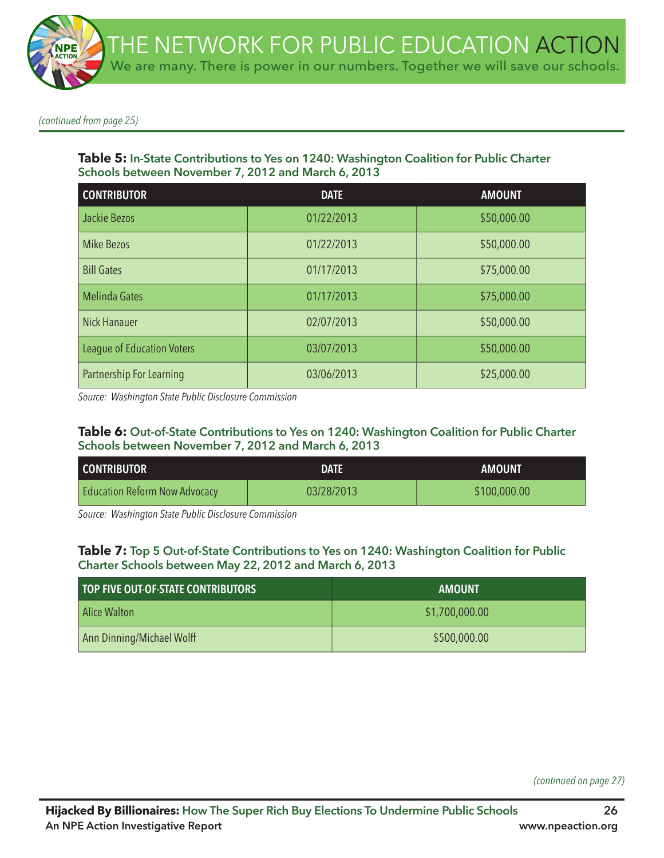*(continued from page 25)*

#### **Table 5: In-State Contributions to Yes on 1240: Washington Coalition for Public Charter Schools between November 7, 2012 and March 6, 2013**

| <b>CONTRIBUTOR</b>                | <b>DATE</b> | <b>AMOUNT</b> |
|-----------------------------------|-------------|---------------|
| Jackie Bezos                      | 01/22/2013  | \$50,000.00   |
| <b>Mike Bezos</b>                 | 01/22/2013  | \$50,000.00   |
| <b>Bill Gates</b>                 | 01/17/2013  | \$75,000.00   |
| <b>Melinda Gates</b>              | 01/17/2013  | \$75,000.00   |
| <b>Nick Hanauer</b>               | 02/07/2013  | \$50,000.00   |
| <b>League of Education Voters</b> | 03/07/2013  | \$50,000.00   |
| Partnership For Learning          | 03/06/2013  | \$25,000.00   |

*Source: Washington State Public Disclosure Commission*

#### **Table 6: Out-of-State Contributions to Yes on 1240: Washington Coalition for Public Charter Schools between November 7, 2012 and March 6, 2013**

| <b>CONTRIBUTOR</b>                   | DATE       | <b>AMOUNT</b> |
|--------------------------------------|------------|---------------|
| <b>Education Reform Now Advocacy</b> | 03/28/2013 | \$100,000.00  |

*Source: Washington State Public Disclosure Commission*

#### **Table 7: Top 5 Out-of-State Contributions to Yes on 1240: Washington Coalition for Public Charter Schools between May 22, 2012 and March 6, 2013**

| <b>TOP FIVE OUT-OF-STATE CONTRIBUTORS</b> | <b>AMOUNT</b>  |
|-------------------------------------------|----------------|
| Alice Walton_                             | \$1,700,000.00 |
| Ann Dinning/Michael Wolff                 | \$500,000.00   |

*(continued on page 27)*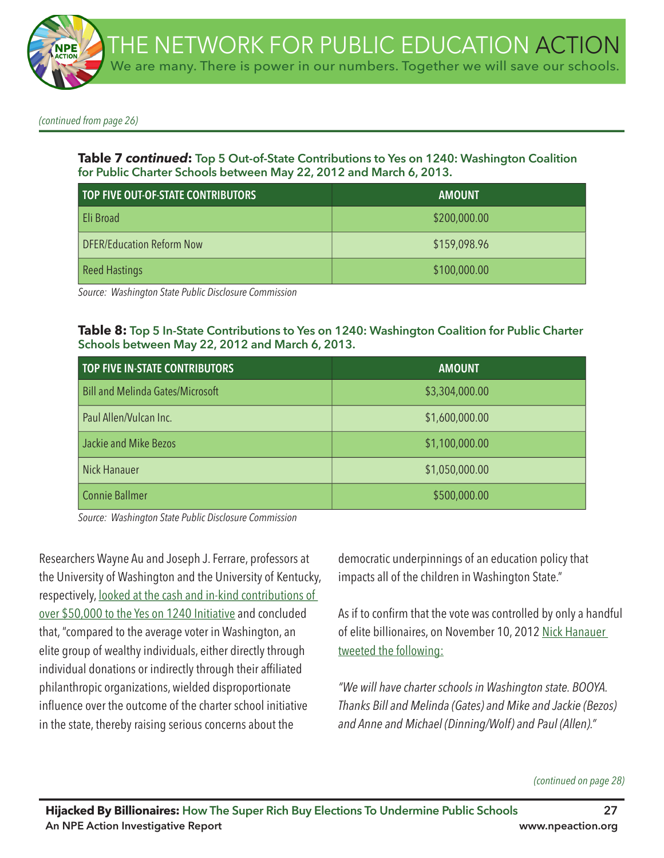

*(continued from page 26)*

**Table 7** *continued***: Top 5 Out-of-State Contributions to Yes on 1240: Washington Coalition for Public Charter Schools between May 22, 2012 and March 6, 2013.**

| TOP FIVE OUT-OF-STATE CONTRIBUTORS | <b>AMOUNT</b> |
|------------------------------------|---------------|
| Eli Broad                          | \$200,000.00  |
| <b>DFER/Education Reform Now</b>   | \$159,098.96  |
| <b>Reed Hastings</b>               | \$100,000.00  |

*Source: Washington State Public Disclosure Commission*

#### **Table 8: Top 5 In-State Contributions to Yes on 1240: Washington Coalition for Public Charter Schools between May 22, 2012 and March 6, 2013.**

| <b>TOP FIVE IN-STATE CONTRIBUTORS</b>   | <b>AMOUNT</b>  |
|-----------------------------------------|----------------|
| <b>Bill and Melinda Gates/Microsoft</b> | \$3,304,000.00 |
| Paul Allen/Vulcan Inc.                  | \$1,600,000.00 |
| Jackie and Mike Bezos                   | \$1,100,000.00 |
| <b>Nick Hanauer</b>                     | \$1,050,000.00 |
| <b>Connie Ballmer</b>                   | \$500,000.00   |

*Source: Washington State Public Disclosure Commission*

Researchers Wayne Au and Joseph J. Ferrare, professors at the University of Washington and the University of Kentucky, respectively, looked at the cash and in-kind contributions of over \$50,000 to the Yes on 1240 Initiative and concluded that, "compared to the average voter in Washington, an elite group of wealthy individuals, either directly through individual donations or indirectly through their affliated philanthropic organizations, wielded disproportionate infuence over the outcome of the charter school initiative in the state, thereby raising serious concerns about the

democratic underpinnings of an education policy that impacts all of the children in Washington State."

As if to confrm that the vote was controlled by only a handful of elite billionaires, on November 10, 2012 Nick Hanauer tweeted the following:

*"We will have charter schools in Washington state. BOOYA. Thanks Bill and Melinda (Gates) and Mike and Jackie (Bezos) and Anne and Michael (Dinning/Wolf) and Paul (Allen)."*

#### *(continued on page 28)*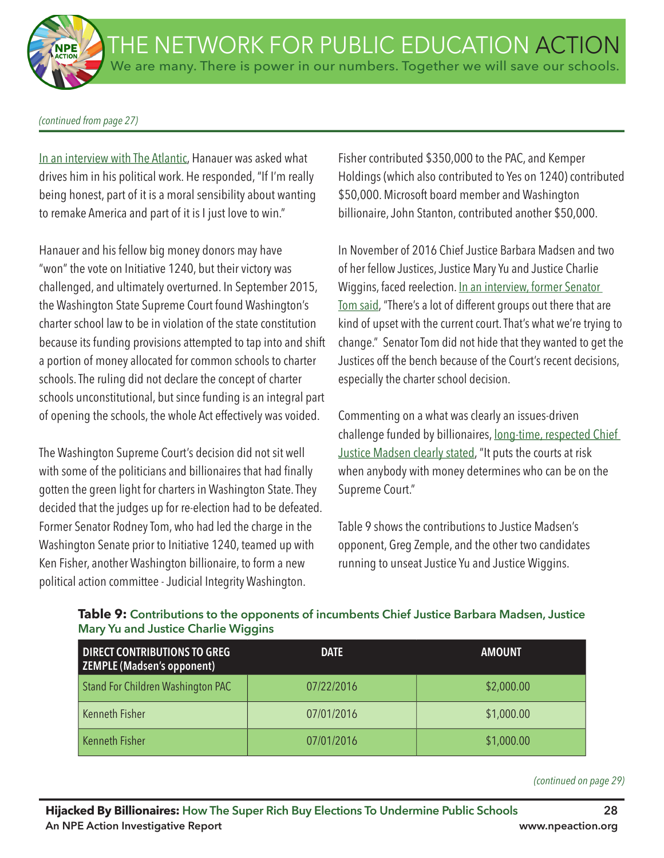*(continued from page 27)*

In an interview with The Atlantic, Hanauer was asked what drives him in his political work. He responded, "If I'm really being honest, part of it is a moral sensibility about wanting to remake America and part of it is I just love to win."

Hanauer and his fellow big money donors may have "won" the vote on Initiative 1240, but their victory was challenged, and ultimately overturned. In September 2015, the Washington State Supreme Court found Washington's charter school law to be in violation of the state constitution because its funding provisions attempted to tap into and shift a portion of money allocated for common schools to charter schools. The ruling did not declare the concept of charter schools unconstitutional, but since funding is an integral part of opening the schools, the whole Act effectively was voided.

The Washington Supreme Court's decision did not sit well with some of the politicians and billionaires that had finally gotten the green light for charters in Washington State. They decided that the judges up for re-election had to be defeated. Former Senator Rodney Tom, who had led the charge in the Washington Senate prior to Initiative 1240, teamed up with Ken Fisher, another Washington billionaire, to form a new political action committee - Judicial Integrity Washington.

Fisher contributed \$350,000 to the PAC, and Kemper Holdings (which also contributed to Yes on 1240) contributed \$50,000. Microsoft board member and Washington billionaire, John Stanton, contributed another \$50,000.

In November of 2016 Chief Justice Barbara Madsen and two of her fellow Justices, Justice Mary Yu and Justice Charlie Wiggins, faced reelection. In an interview, former Senator Tom said, "There's a lot of different groups out there that are kind of upset with the current court. That's what we're trying to change." Senator Tom did not hide that they wanted to get the Justices off the bench because of the Court's recent decisions, especially the charter school decision.

Commenting on a what was clearly an issues-driven challenge funded by billionaires, long-time, respected Chief Justice Madsen clearly stated, "It puts the courts at risk when anybody with money determines who can be on the Supreme Court."

Table 9 shows the contributions to Justice Madsen's opponent, Greg Zemple, and the other two candidates running to unseat Justice Yu and Justice Wiggins.

| <b>DIRECT CONTRIBUTIONS TO GREG</b><br><b>ZEMPLE (Madsen's opponent)</b> | <b>DATE</b> | <b>AMOUNT</b> |
|--------------------------------------------------------------------------|-------------|---------------|
| Stand For Children Washington PAC                                        | 07/22/2016  | \$2,000.00    |
| Kenneth Fisher                                                           | 07/01/2016  | \$1,000.00    |
| Kenneth Fisher                                                           | 07/01/2016  | \$1,000.00    |

## **Table 9: Contributions to the opponents of incumbents Chief Justice Barbara Madsen, Justice Mary Yu and Justice Charlie Wiggins**

*(continued on page 29)*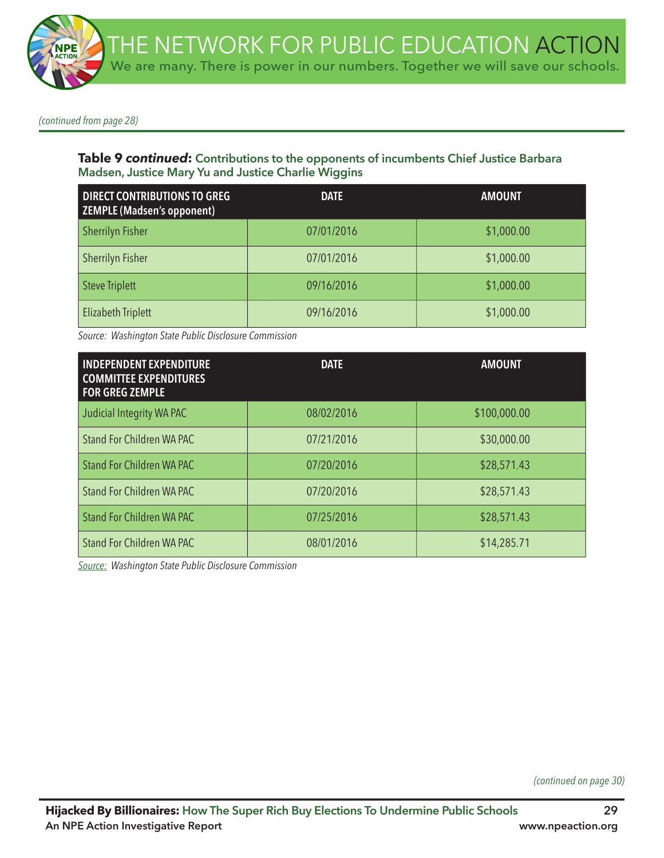*(continued from page 28)*

### **Table 9** *continued***: Contributions to the opponents of incumbents Chief Justice Barbara Madsen, Justice Mary Yu and Justice Charlie Wiggins**

| <b>DIRECT CONTRIBUTIONS TO GREG</b><br>ZEMPLE (Madsen's opponent) | <b>DATE</b> | <b>AMOUNT</b> |
|-------------------------------------------------------------------|-------------|---------------|
| <b>Sherrilyn Fisher</b>                                           | 07/01/2016  | \$1,000.00    |
| Sherrilyn Fisher                                                  | 07/01/2016  | \$1,000.00    |
| <b>Steve Triplett</b>                                             | 09/16/2016  | \$1,000.00    |
| <b>Elizabeth Triplett</b>                                         | 09/16/2016  | \$1,000.00    |

*Source: Washington State Public Disclosure Commission*

| <b>INDEPENDENT EXPENDITURE</b><br><b>COMMITTEE EXPENDITURES</b><br><b>FOR GREG ZEMPLE</b> | <b>DATE</b> | <b>AMOUNT</b> |
|-------------------------------------------------------------------------------------------|-------------|---------------|
| Judicial Integrity WA PAC                                                                 | 08/02/2016  | \$100,000.00  |
| <b>Stand For Children WA PAC</b>                                                          | 07/21/2016  | \$30,000.00   |
| <b>Stand For Children WA PAC</b>                                                          | 07/20/2016  | \$28,571.43   |
| <b>Stand For Children WA PAC</b>                                                          | 07/20/2016  | \$28,571.43   |
| <b>Stand For Children WA PAC</b>                                                          | 07/25/2016  | \$28,571.43   |
| Stand For Children WA PAC                                                                 | 08/01/2016  | \$14,285.71   |

*Source: Washington State Public Disclosure Commission*

*(continued on page 30)*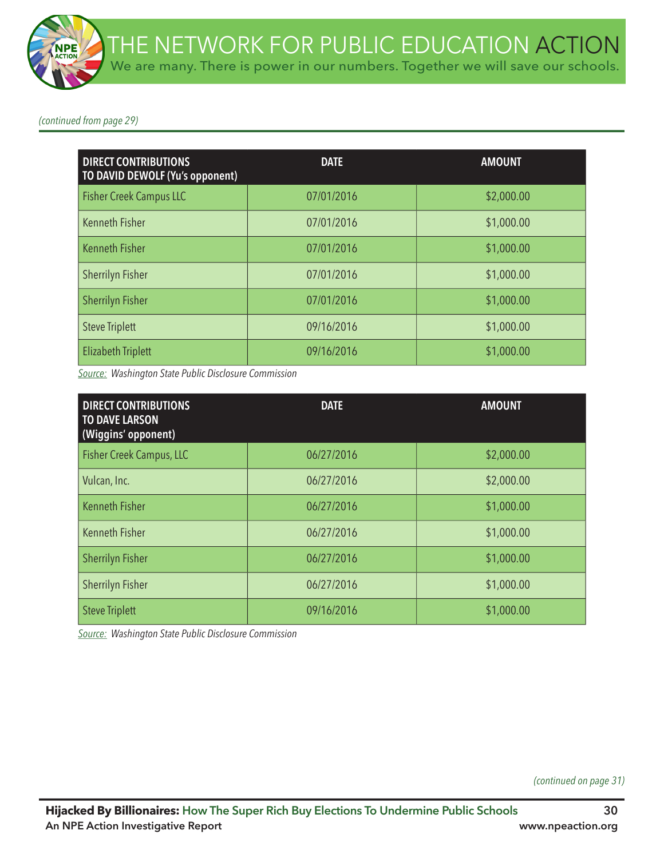*(continued from page 29)*

| <b>DIRECT CONTRIBUTIONS</b><br>TO DAVID DEWOLF (Yu's opponent) | <b>DATE</b> | <b>AMOUNT</b> |
|----------------------------------------------------------------|-------------|---------------|
| <b>Fisher Creek Campus LLC</b>                                 | 07/01/2016  | \$2,000.00    |
| <b>Kenneth Fisher</b>                                          | 07/01/2016  | \$1,000.00    |
| <b>Kenneth Fisher</b>                                          | 07/01/2016  | \$1,000.00    |
| Sherrilyn Fisher                                               | 07/01/2016  | \$1,000.00    |
| <b>Sherrilyn Fisher</b>                                        | 07/01/2016  | \$1,000.00    |
| <b>Steve Triplett</b>                                          | 09/16/2016  | \$1,000.00    |
| <b>Elizabeth Triplett</b>                                      | 09/16/2016  | \$1,000.00    |

*Source: Washington State Public Disclosure Commission*

| <b>DIRECT CONTRIBUTIONS</b><br><b>TO DAVE LARSON</b><br>(Wiggins' opponent) | <b>DATE</b> | <b>AMOUNT</b> |
|-----------------------------------------------------------------------------|-------------|---------------|
| Fisher Creek Campus, LLC                                                    | 06/27/2016  | \$2,000.00    |
| Vulcan, Inc.                                                                | 06/27/2016  | \$2,000.00    |
| <b>Kenneth Fisher</b>                                                       | 06/27/2016  | \$1,000.00    |
| <b>Kenneth Fisher</b>                                                       | 06/27/2016  | \$1,000.00    |
| <b>Sherrilyn Fisher</b>                                                     | 06/27/2016  | \$1,000.00    |
| <b>Sherrilyn Fisher</b>                                                     | 06/27/2016  | \$1,000.00    |
| <b>Steve Triplett</b>                                                       | 09/16/2016  | \$1,000.00    |

*Source: Washington State Public Disclosure Commission*

*(continued on page 31)*